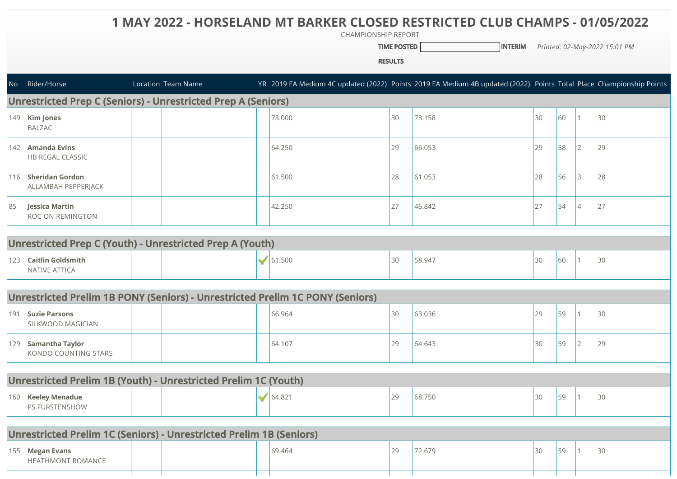## **1 MAY 2022 - HORSELAND MT BARKER CLOSED RESTRICTED CLUB CHAMPS - 01/05/2022**

CHAMPIONSHIP REPORT

**TIME POSTED INTERIM** *Printed: 02-May-2022 15:01 PM* 

RESULTS

|                                                                      | No Rider/Horse                                            |  | Location Team Name |   |                                                                               |    | YR 2019 EA Medium 4C updated (2022) Points 2019 EA Medium 4B updated (2022) Points Total Place Championship Points |    |    |                |    |
|----------------------------------------------------------------------|-----------------------------------------------------------|--|--------------------|---|-------------------------------------------------------------------------------|----|--------------------------------------------------------------------------------------------------------------------|----|----|----------------|----|
| <b>Unrestricted Prep C (Seniors) - Unrestricted Prep A (Seniors)</b> |                                                           |  |                    |   |                                                                               |    |                                                                                                                    |    |    |                |    |
| 149                                                                  | <b>Kim Jones</b><br><b>BALZAC</b>                         |  |                    |   | 73.000                                                                        | 30 | 73.158                                                                                                             | 30 | 60 |                | 30 |
| 142                                                                  | Amanda Evins<br><b>HB REGAL CLASSIC</b>                   |  |                    |   | 64.250                                                                        | 29 | 66.053                                                                                                             | 29 | 58 | 2              | 29 |
|                                                                      | 116 Sheridan Gordon<br>ALLAMBAH PEPPERJACK                |  |                    |   | 61.500                                                                        | 28 | 61.053                                                                                                             | 28 | 56 | 3              | 28 |
| 85                                                                   | <b>Jessica Martin</b><br><b>ROC ON REMINGTON</b>          |  |                    |   | 42.250                                                                        | 27 | 46.842                                                                                                             | 27 | 54 | $\overline{4}$ | 27 |
|                                                                      |                                                           |  |                    |   |                                                                               |    |                                                                                                                    |    |    |                |    |
|                                                                      | Unrestricted Prep C (Youth) - Unrestricted Prep A (Youth) |  |                    |   |                                                                               |    |                                                                                                                    |    |    |                |    |
| 123                                                                  | <b>Caitlin Goldsmith</b><br>NATIVE ATTICA                 |  |                    | ᢦ | 61.500                                                                        | 30 | 58.947                                                                                                             | 30 | 60 |                | 30 |
|                                                                      |                                                           |  |                    |   |                                                                               |    |                                                                                                                    |    |    |                |    |
|                                                                      |                                                           |  |                    |   | Unrestricted Prelim 1B PONY (Seniors) - Unrestricted Prelim 1C PONY (Seniors) |    |                                                                                                                    |    |    |                |    |
|                                                                      | 191 Suzie Parsons<br>SILKWOOD MAGICIAN                    |  |                    |   | 66.964                                                                        | 30 | 63.036                                                                                                             | 29 | 59 |                | 30 |
|                                                                      | 129 Samantha Taylor<br>KONDO COUNTING STARS               |  |                    |   | 64.107                                                                        | 29 | 64.643                                                                                                             | 30 | 59 | 2              | 29 |
|                                                                      |                                                           |  |                    |   |                                                                               |    |                                                                                                                    |    |    |                |    |
| Unrestricted Prelim 1B (Youth) - Unrestricted Prelim 1C (Youth)      |                                                           |  |                    |   |                                                                               |    |                                                                                                                    |    |    |                |    |
|                                                                      | 160   Keeley Menadue<br>PS FURSTENSHOW                    |  |                    | ✔ | 164.821                                                                       | 29 | 68.750                                                                                                             | 30 | 59 |                | 30 |
|                                                                      |                                                           |  |                    |   |                                                                               |    |                                                                                                                    |    |    |                |    |
| Unrestricted Prelim 1C (Seniors) - Unrestricted Prelim 1B (Seniors)  |                                                           |  |                    |   |                                                                               |    |                                                                                                                    |    |    |                |    |
|                                                                      | 155 Megan Evans<br><b>HEATHMONT ROMANCE</b>               |  |                    |   | 69.464                                                                        | 29 | 72.679                                                                                                             | 30 | 59 |                | 30 |
|                                                                      |                                                           |  |                    |   |                                                                               |    |                                                                                                                    |    |    |                |    |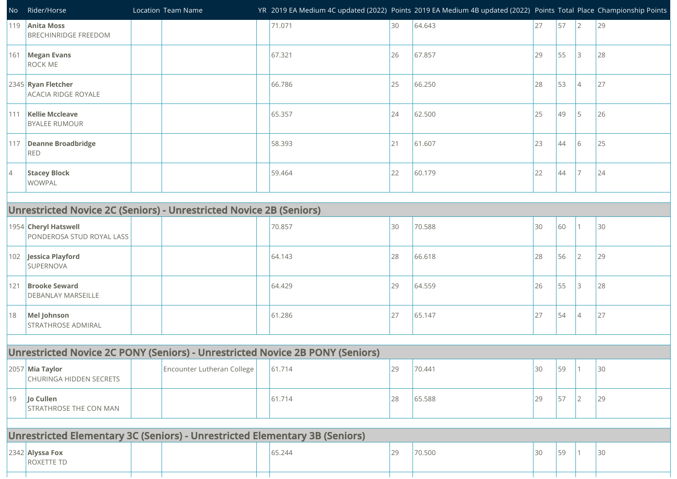| No                                                                            | Rider/Horse                                                                 |  | Location Team Name         |  |        |    | YR 2019 EA Medium 4C updated (2022) Points 2019 EA Medium 4B updated (2022) Points Total Place Championship Points |    |    |                 |    |
|-------------------------------------------------------------------------------|-----------------------------------------------------------------------------|--|----------------------------|--|--------|----|--------------------------------------------------------------------------------------------------------------------|----|----|-----------------|----|
| 119                                                                           | <b>Anita Moss</b><br><b>BRECHINRIDGE FREEDOM</b>                            |  |                            |  | 71.071 | 30 | 64.643                                                                                                             | 27 | 57 | 2               | 29 |
|                                                                               | 161 Megan Evans<br><b>ROCK ME</b>                                           |  |                            |  | 67.321 | 26 | 67.857                                                                                                             | 29 | 55 | 3               | 28 |
|                                                                               | 2345 Ryan Fletcher<br>ACACIA RIDGE ROYALE                                   |  |                            |  | 66.786 | 25 | 66.250                                                                                                             | 28 | 53 | $\overline{4}$  | 27 |
| 111                                                                           | <b>Kellie Mccleave</b><br><b>BYALEE RUMOUR</b>                              |  |                            |  | 65.357 | 24 | 62.500                                                                                                             | 25 | 49 | 5               | 26 |
| 117                                                                           | Deanne Broadbridge<br><b>RED</b>                                            |  |                            |  | 58.393 | 21 | 61.607                                                                                                             | 23 | 44 | 6               | 25 |
| $\vert 4$                                                                     | <b>Stacey Block</b><br><b>WOWPAL</b>                                        |  |                            |  | 59.464 | 22 | 60.179                                                                                                             | 22 | 44 | 7               | 24 |
| <b>Unrestricted Novice 2C (Seniors) - Unrestricted Novice 2B (Seniors)</b>    |                                                                             |  |                            |  |        |    |                                                                                                                    |    |    |                 |    |
|                                                                               | 1954 Cheryl Hatswell<br>PONDEROSA STUD ROYAL LASS                           |  |                            |  | 70.857 | 30 | 70.588                                                                                                             | 30 | 60 | 1               | 30 |
|                                                                               | 102 Jessica Playford<br><b>SUPERNOVA</b>                                    |  |                            |  | 64.143 | 28 | 66.618                                                                                                             | 28 | 56 | $\overline{2}$  | 29 |
| 121                                                                           | <b>Brooke Seward</b><br><b>DEBANLAY MARSEILLE</b>                           |  |                            |  | 64.429 | 29 | 64.559                                                                                                             | 26 | 55 | 3               | 28 |
| 18                                                                            | Mel Johnson<br><b>STRATHROSE ADMIRAL</b>                                    |  |                            |  | 61.286 | 27 | 65.147                                                                                                             | 27 | 54 | $\vert 4 \vert$ | 27 |
| Unrestricted Novice 2C PONY (Seniors) - Unrestricted Novice 2B PONY (Seniors) |                                                                             |  |                            |  |        |    |                                                                                                                    |    |    |                 |    |
|                                                                               | 2057 Mia Taylor<br>CHURINGA HIDDEN SECRETS                                  |  | Encounter Lutheran College |  | 61.714 | 29 | 70.441                                                                                                             | 30 | 59 | $\mathbf{1}$    | 30 |
| 19                                                                            | Jo Cullen<br><b>STRATHROSE THE CON MAN</b>                                  |  |                            |  | 61.714 | 28 | 65.588                                                                                                             | 29 | 57 | $ 2\rangle$     | 29 |
|                                                                               | Unrestricted Elementary 3C (Seniors) - Unrestricted Elementary 3B (Seniors) |  |                            |  |        |    |                                                                                                                    |    |    |                 |    |
|                                                                               |                                                                             |  |                            |  |        |    |                                                                                                                    |    |    |                 |    |
|                                                                               | $2342$ Alyssa Fox<br><b>ROXETTE TD</b>                                      |  |                            |  | 65.244 | 29 | 70.500                                                                                                             | 30 | 59 | $\mathbf{1}$    | 30 |

 $\mathbf{1}$ 

 $\mathbf{1}$ 

┱═┱

 $\mathbf{1}$ 

a T